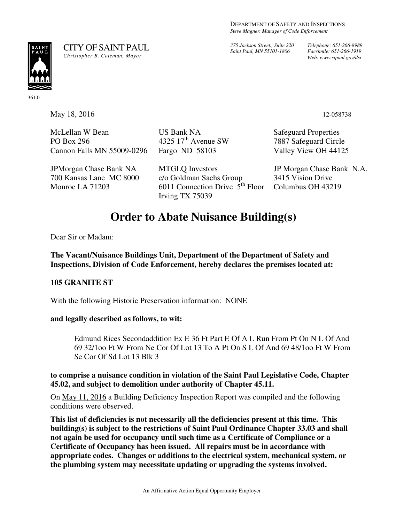*375 Jackson Street., Suite 220 Saint Paul, MN 55101-1806*

*Telephone: 651-266-8989 Facsimile: 651-266-1919 Web: www.stpaul.gov/dsi*



CITY OF SAINT PAUL *Christopher B. Coleman, Mayor* 

361.0

May 18, 2016 12-058738

McLellan W Bean PO Box 296 Cannon Falls MN 55009-0296

JPMorgan Chase Bank NA 700 Kansas Lane MC 8000 Monroe LA 71203

Fargo ND 58103 MTGLQ Investors c/o Goldman Sachs Group 6011 Connection Drive  $5<sup>th</sup>$  Floor

US Bank NA

Irving TX 75039

4325  $17<sup>th</sup>$  Avenue SW

Safeguard Properties 7887 Safeguard Circle Valley View OH 44125

JP Morgan Chase Bank N.A. 3415 Vision Drive Columbus OH 43219

# **Order to Abate Nuisance Building(s)**

Dear Sir or Madam:

**The Vacant/Nuisance Buildings Unit, Department of the Department of Safety and Inspections, Division of Code Enforcement, hereby declares the premises located at:** 

## **105 GRANITE ST**

With the following Historic Preservation information: NONE

#### **and legally described as follows, to wit:**

Edmund Rices Secondaddition Ex E 36 Ft Part E Of A L Run From Pt On N L Of And 69 32/1oo Ft W From Ne Cor Of Lot 13 To A Pt On S L Of And 69 48/1oo Ft W From Se Cor Of Sd Lot 13 Blk 3

### **to comprise a nuisance condition in violation of the Saint Paul Legislative Code, Chapter 45.02, and subject to demolition under authority of Chapter 45.11.**

On May 11, 2016 a Building Deficiency Inspection Report was compiled and the following conditions were observed.

**This list of deficiencies is not necessarily all the deficiencies present at this time. This building(s) is subject to the restrictions of Saint Paul Ordinance Chapter 33.03 and shall not again be used for occupancy until such time as a Certificate of Compliance or a Certificate of Occupancy has been issued. All repairs must be in accordance with appropriate codes. Changes or additions to the electrical system, mechanical system, or the plumbing system may necessitate updating or upgrading the systems involved.**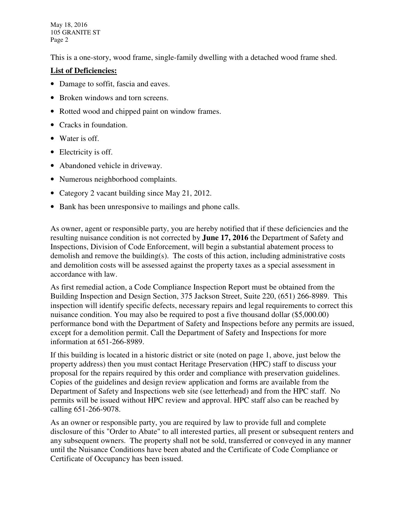May 18, 2016 105 GRANITE ST Page 2

This is a one-story, wood frame, single-family dwelling with a detached wood frame shed.

## **List of Deficiencies:**

- Damage to soffit, fascia and eaves.
- Broken windows and torn screens.
- Rotted wood and chipped paint on window frames.
- Cracks in foundation.
- Water is off.
- Electricity is off.
- Abandoned vehicle in driveway.
- Numerous neighborhood complaints.
- Category 2 vacant building since May 21, 2012.
- Bank has been unresponsive to mailings and phone calls.

As owner, agent or responsible party, you are hereby notified that if these deficiencies and the resulting nuisance condition is not corrected by **June 17, 2016** the Department of Safety and Inspections, Division of Code Enforcement, will begin a substantial abatement process to demolish and remove the building(s). The costs of this action, including administrative costs and demolition costs will be assessed against the property taxes as a special assessment in accordance with law.

As first remedial action, a Code Compliance Inspection Report must be obtained from the Building Inspection and Design Section, 375 Jackson Street, Suite 220, (651) 266-8989. This inspection will identify specific defects, necessary repairs and legal requirements to correct this nuisance condition. You may also be required to post a five thousand dollar (\$5,000.00) performance bond with the Department of Safety and Inspections before any permits are issued, except for a demolition permit. Call the Department of Safety and Inspections for more information at 651-266-8989.

If this building is located in a historic district or site (noted on page 1, above, just below the property address) then you must contact Heritage Preservation (HPC) staff to discuss your proposal for the repairs required by this order and compliance with preservation guidelines. Copies of the guidelines and design review application and forms are available from the Department of Safety and Inspections web site (see letterhead) and from the HPC staff. No permits will be issued without HPC review and approval. HPC staff also can be reached by calling 651-266-9078.

As an owner or responsible party, you are required by law to provide full and complete disclosure of this "Order to Abate" to all interested parties, all present or subsequent renters and any subsequent owners. The property shall not be sold, transferred or conveyed in any manner until the Nuisance Conditions have been abated and the Certificate of Code Compliance or Certificate of Occupancy has been issued.